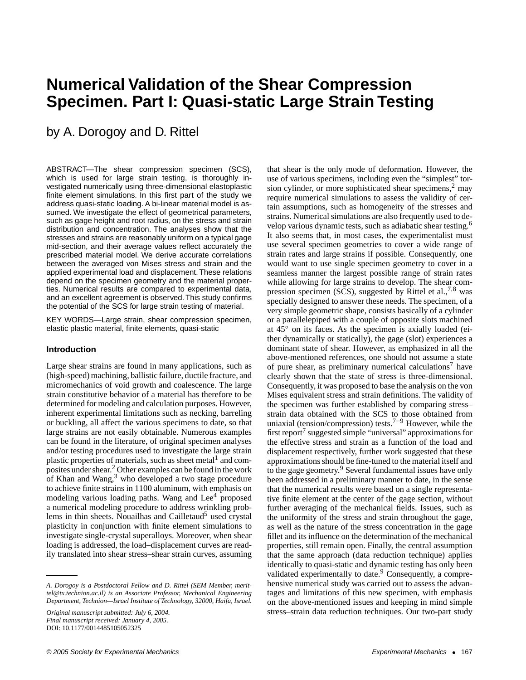# **Numerical Validation of the Shear Compression Specimen. Part I: Quasi-static Large Strain Testing**

by A. Dorogoy and D. Rittel

ABSTRACT—The shear compression specimen (SCS), which is used for large strain testing, is thoroughly investigated numerically using three-dimensional elastoplastic finite element simulations. In this first part of the study we address quasi-static loading. A bi-linear material model is assumed. We investigate the effect of geometrical parameters, such as gage height and root radius, on the stress and strain distribution and concentration. The analyses show that the stresses and strains are reasonably uniform on a typical gage mid-section, and their average values reflect accurately the prescribed material model. We derive accurate correlations between the averaged von Mises stress and strain and the applied experimental load and displacement. These relations depend on the specimen geometry and the material properties. Numerical results are compared to experimental data, and an excellent agreement is observed. This study confirms the potential of the SCS for large strain testing of material.

KEY WORDS—Large strain, shear compression specimen, elastic plastic material, finite elements, quasi-static

# **Introduction**

Large shear strains are found in many applications, such as (high-speed) machining, ballistic failure, ductile fracture, and micromechanics of void growth and coalescence. The large strain constitutive behavior of a material has therefore to be determined for modeling and calculation purposes. However, inherent experimental limitations such as necking, barreling or buckling, all affect the various specimens to date, so that large strains are not easily obtainable. Numerous examples can be found in the literature, of original specimen analyses and/or testing procedures used to investigate the large strain plastic properties of materials, such as sheet metal<sup>1</sup> and composites under shear.<sup>2</sup> Other examples can be found in the work of Khan and Wang, $3 \text{ who developed a two stage procedure}$ to achieve finite strains in 1100 aluminum, with emphasis on modeling various loading paths. Wang and  $Lee<sup>4</sup>$  proposed a numerical modeling procedure to address wrinkling problems in thin sheets. Nouailhas and Cailletaud<sup>5</sup> used crystal plasticity in conjunction with finite element simulations to investigate single-crystal superalloys. Moreover, when shear loading is addressed, the load–displacement curves are readily translated into shear stress–shear strain curves, assuming

that shear is the only mode of deformation. However, the use of various specimens, including even the "simplest" torsion cylinder, or more sophisticated shear specimens, $2 \text{ may}$ require numerical simulations to assess the validity of certain assumptions, such as homogeneity of the stresses and strains. Numerical simulations are also frequently used to develop various dynamic tests, such as adiabatic shear testing.<sup>6</sup> It also seems that, in most cases, the experimentalist must use several specimen geometries to cover a wide range of strain rates and large strains if possible. Consequently, one would want to use single specimen geometry to cover in a seamless manner the largest possible range of strain rates while allowing for large strains to develop. The shear compression specimen (SCS), suggested by Rittel et al.,<sup>7,8</sup> was specially designed to answer these needs. The specimen, of a very simple geometric shape, consists basically of a cylinder or a parallelepiped with a couple of opposite slots machined at 45◦ on its faces. As the specimen is axially loaded (either dynamically or statically), the gage (slot) experiences a dominant state of shear. However, as emphasized in all the above-mentioned references, one should not assume a state of pure shear, as preliminary numerical calculations<sup>7</sup> have clearly shown that the state of stress is three-dimensional. Consequently, it was proposed to base the analysis on the von Mises equivalent stress and strain definitions. The validity of the specimen was further established by comparing stress– strain data obtained with the SCS to those obtained from uniaxial (tension/compression) tests.<sup>7–9</sup> However, while the first report<sup>7</sup> suggested simple "universal" approximations for the effective stress and strain as a function of the load and displacement respectively, further work suggested that these approximations should be fine-tuned to the material itself and to the gage geometry.<sup>9</sup> Several fundamental issues have only been addressed in a preliminary manner to date, in the sense that the numerical results were based on a single representative finite element at the center of the gage section, without further averaging of the mechanical fields. Issues, such as the uniformity of the stress and strain throughout the gage, as well as the nature of the stress concentration in the gage fillet and its influence on the determination of the mechanical properties, still remain open. Finally, the central assumption that the same approach (data reduction technique) applies identically to quasi-static and dynamic testing has only been validated experimentally to date.<sup>9</sup> Consequently, a comprehensive numerical study was carried out to assess the advantages and limitations of this new specimen, with emphasis on the above-mentioned issues and keeping in mind simple stress–strain data reduction techniques. Our two-part study

*A. Dorogoy is a Postdoctoral Fellow and D. Rittel (SEM Member, merittel@tx.technion.ac.il) is an Associate Professor, Mechanical Engineering Department, Technion—Israel Institute of Technology, 32000, Haifa, Israel.*

*Original manuscript submitted: July 6, 2004. Final manuscript received: January 4, 2005.* DOI: 10.1177/0014485105052325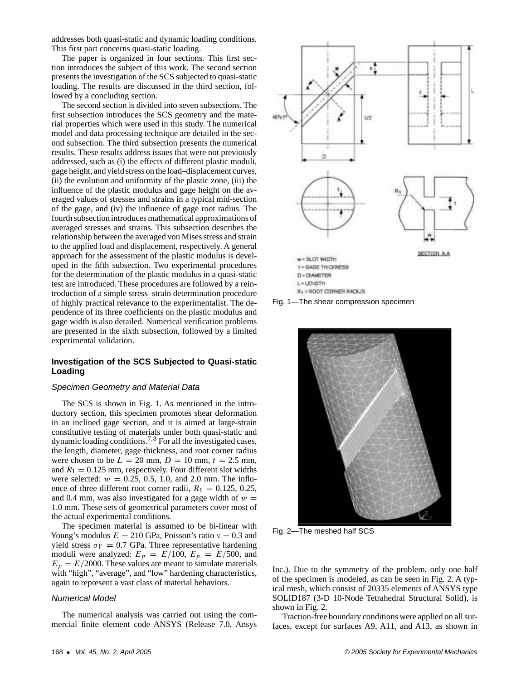addresses both quasi-static and dynamic loading conditions. This first part concerns quasi-static loading.

The paper is organized in four sections. This first section introduces the subject of this work. The second section presents the investigation of the SCS subjected to quasi-static loading. The results are discussed in the third section, followed by a concluding section.

The second section is divided into seven subsections. The first subsection introduces the SCS geometry and the material properties which were used in this study. The numerical model and data processing technique are detailed in the second subsection. The third subsection presents the numerical results. These results address issues that were not previously addressed, such as (i) the effects of different plastic moduli, gage height, and yield stress on the load–displacement curves, (ii) the evolution and uniformity of the plastic zone, (iii) the influence of the plastic modulus and gage height on the averaged values of stresses and strains in a typical mid-section of the gage, and (iv) the influence of gage root radius. The fourth subsection introduces mathematical approximations of averaged stresses and strains. This subsection describes the relationship between the averaged von Mises stress and strain to the applied load and displacement, respectively. A general approach for the assessment of the plastic modulus is developed in the fifth subsection. Two experimental procedures for the determination of the plastic modulus in a quasi-static test are introduced. These procedures are followed by a reintroduction of a simple stress–strain determination procedure of highly practical relevance to the experimentalist. The dependence of its three coefficients on the plastic modulus and gage width is also detailed. Numerical verification problems are presented in the sixth subsection, followed by a limited experimental validation.

# **Investigation of the SCS Subjected to Quasi-static Loading**

## Specimen Geometry and Material Data

The SCS is shown in Fig. 1. As mentioned in the introductory section, this specimen promotes shear deformation in an inclined gage section, and it is aimed at large-strain constitutive testing of materials under both quasi-static and dynamic loading conditions.7,<sup>8</sup> For all the investigated cases, the length, diameter, gage thickness, and root corner radius were chosen to be  $L = 20$  mm,  $D = 10$  mm,  $t = 2.5$  mm, and  $R_1 = 0.125$  mm, respectively. Four different slot widths were selected:  $w = 0.25, 0.5, 1.0,$  and 2.0 mm. The influence of three different root corner radii,  $R_1 = 0.125, 0.25$ , and 0.4 mm, was also investigated for a gage width of  $w =$ 1.0 mm. These sets of geometrical parameters cover most of the actual experimental conditions.

The specimen material is assumed to be bi-linear with Young's modulus  $E = 210$  GPa, Poisson's ratio  $v = 0.3$  and yield stress  $\sigma_Y = 0.7$  GPa. Three representative hardening moduli were analyzed:  $E_p = E/100$ ,  $E_p = E/500$ , and  $E_p = E/2000$ . These values are meant to simulate materials with "high", "average", and "low" hardening characteristics, again to represent a vast class of material behaviors.

# Numerical Model

The numerical analysis was carried out using the commercial finite element code ANSYS (Release 7.0, Ansys



Fig. 1—The shear compression specimen



Fig. 2—The meshed half SCS

Inc.). Due to the symmetry of the problem, only one half of the specimen is modeled, as can be seen in Fig. 2. A typical mesh, which consist of 20335 elements of ANSYS type SOLID187 (3-D 10-Node Tetrahedral Structural Solid), is shown in Fig. 2.

Traction-free boundary conditions were applied on all surfaces, except for surfaces A9, A11, and A13, as shown in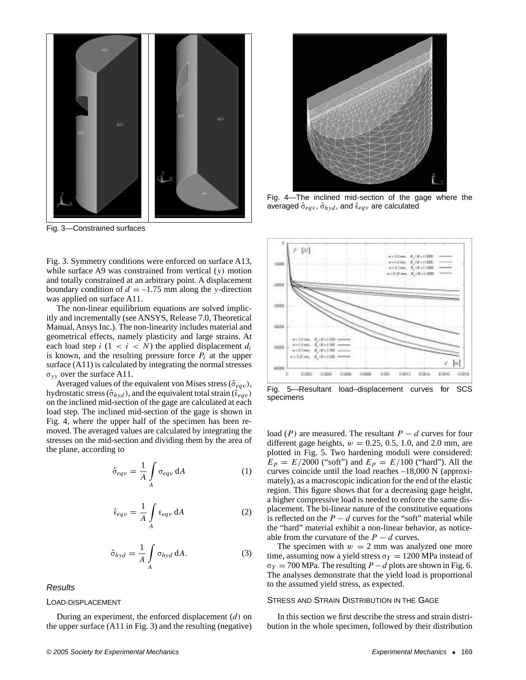

Fig. 3—Constrained surfaces

Fig. 3. Symmetry conditions were enforced on surface A13, while surface A9 was constrained from vertical (y) motion and totally constrained at an arbitrary point. A displacement boundary condition of  $d = -1.75$  mm along the y-direction was applied on surface A11.

The non-linear equilibrium equations are solved implicitly and incrementally (see ANSYS, Release 7.0, Theoretical Manual, Ansys Inc.). The non-linearity includes material and geometrical effects, namely plasticity and large strains. At each load step  $i$  (1 <  $i$  < N) the applied displacement  $d_i$ is known, and the resulting pressure force  $P_i$  at the upper surface (A11) is calculated by integrating the normal stresses  $\sigma_{yy}$  over the surface A11.

Averaged values of the equivalent von Mises stress ( $\hat{\sigma}_{eqv}$ ), hydrostatic stress ( $\hat{\sigma}_{hvd}$ ), and the equivalent total strain ( $\hat{\epsilon}_{eav}$ ) on the inclined mid-section of the gage are calculated at each load step. The inclined mid-section of the gage is shown in Fig. 4, where the upper half of the specimen has been removed. The averaged values are calculated by integrating the stresses on the mid-section and dividing them by the area of the plane, according to

$$
\hat{\sigma}_{eqv} = \frac{1}{A} \int\limits_{A} \sigma_{eqv} \, dA \tag{1}
$$

$$
\hat{\varepsilon}_{eqv} = \frac{1}{A} \int\limits_{A} \varepsilon_{eqv} \, dA \tag{2}
$$

$$
\hat{\sigma}_{hyd} = \frac{1}{A} \int\limits_A \sigma_{hyd} \, dA. \tag{3}
$$

**Results** 

LOAD-DISPLACEMENT

During an experiment, the enforced displacement  $(d)$  on the upper surface (A11 in Fig. 3) and the resulting (negative)



Fig. 4—The inclined mid-section of the gage where the averaged  $\hat{\sigma}_{eqv}$ ,  $\hat{\sigma}_{hyd}$ , and  $\hat{\epsilon}_{eqv}$  are calculated



Fig. 5—Resultant load–displacement curves for SCS specimens

load (P) are measured. The resultant  $P - d$  curves for four different gage heights,  $w = 0.25, 0.5, 1.0,$  and 2.0 mm, are plotted in Fig. 5. Two hardening moduli were considered:  $E_p = E/2000$  ("soft") and  $E_p = E/100$  ("hard"). All the curves coincide until the load reaches –18,000 N (approximately), as a macroscopic indication for the end of the elastic region. This figure shows that for a decreasing gage height, a higher compressive load is needed to enforce the same displacement. The bi-linear nature of the constitutive equations is reflected on the  $P - d$  curves for the "soft" material while the "hard" material exhibit a non-linear behavior, as noticeable from the curvature of the  $P - d$  curves.

The specimen with  $w = 2$  mm was analyzed one more time, assuming now a yield stress  $\sigma_Y = 1200$  MPa instead of  $\sigma_Y = 700$  MPa. The resulting  $P - d$  plots are shown in Fig. 6. The analyses demonstrate that the yield load is proportional to the assumed yield stress, as expected.

#### STRESS AND STRAIN DISTRIBUTION IN THE GAGE

In this section we first describe the stress and strain distribution in the whole specimen, followed by their distribution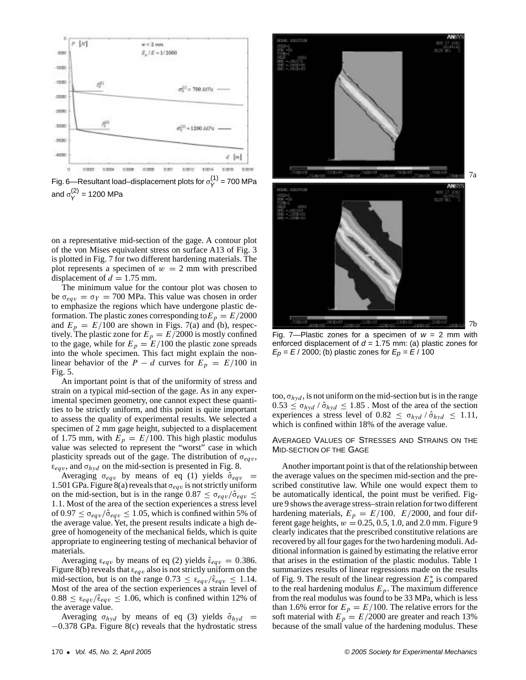

Fig. 6—Resultant load–displacement plots for  $\sigma^{(1)}_Y$  = 700 MPa and  $\sigma^{(2)}_Y$  = 1200 MPa

on a representative mid-section of the gage. A contour plot of the von Mises equivalent stress on surface A13 of Fig. 3 is plotted in Fig. 7 for two different hardening materials. The plot represents a specimen of  $w = 2$  mm with prescribed displacement of  $d = 1.75$  mm.

The minimum value for the contour plot was chosen to be  $\sigma_{eqv} = \sigma_Y = 700$  MPa. This value was chosen in order to emphasize the regions which have undergone plastic deformation. The plastic zones corresponding to  $E_p = E/2000$ and  $E_p = E/100$  are shown in Figs. 7(a) and (b), respectively. The plastic zone for  $E_p = E/2000$  is mostly confined to the gage, while for  $E_p = E/100$  the plastic zone spreads into the whole specimen. This fact might explain the nonlinear behavior of the  $P - d$  curves for  $E_p = E/100$  in Fig. 5.

An important point is that of the uniformity of stress and strain on a typical mid-section of the gage. As in any experimental specimen geometry, one cannot expect these quantities to be strictly uniform, and this point is quite important to assess the quality of experimental results. We selected a specimen of 2 mm gage height, subjected to a displacement of 1.75 mm, with  $E_p = E/100$ . This high plastic modulus value was selected to represent the "worst" case in which plasticity spreads out of the gage. The distribution of  $\sigma_{eqv}$ ,  $\varepsilon_{eqv}$ , and  $\sigma_{hyd}$  on the mid-section is presented in Fig. 8.

Averaging  $\sigma_{eqv}$  by means of eq (1) yields  $\hat{\sigma}_{eqv}$  = 1.501 GPa. Figure 8(a) reveals that  $\sigma_{eqv}$  is not strictly uniform on the mid-section, but is in the range  $0.87 \leq \sigma_{eqv}/\hat{\sigma}_{eqv} \leq$ 1.1. Most of the area of the section experiences a stress level of  $0.97 \leq \sigma_{eqv}/\hat{\sigma}_{eqv} \leq 1.05$ , which is confined within 5% of the average value. Yet, the present results indicate a high degree of homogeneity of the mechanical fields, which is quite appropriate to engineering testing of mechanical behavior of materials.

Averaging  $\varepsilon_{eqv}$  by means of eq (2) yields  $\hat{\varepsilon}_{eqv} = 0.386$ . Figure 8(b) reveals that  $\varepsilon_{eqv}$  also is not strictly uniform on the mid-section, but is on the range  $0.73 \leq \varepsilon_{eqv}/\hat{\varepsilon}_{eqv} \leq 1.14$ . Most of the area of the section experiences a strain level of  $0.88 \leq \varepsilon_{eqv}/\hat{\varepsilon}_{eqv} \leq 1.06$ , which is confined within 12% of the average value.

Averaging  $\sigma_{hyd}$  by means of eq (3) yields  $\hat{\sigma}_{hyd}$  = −0.378 GPa. Figure 8(c) reveals that the hydrostatic stress



Fig. 7-Plastic zones for a specimen of  $w = 2$  mm with enforced displacement of  $d = 1.75$  mm: (a) plastic zones for  $E_p = E/2000$ ; (b) plastic zones for  $E_p = E/100$ 

too,  $\sigma_{hvd}$ , is not uniform on the mid-section but is in the range  $0.53 \leq \sigma_{hyd} / \hat{\sigma}_{hyd} \leq 1.85$ . Most of the area of the section experiences a stress level of  $0.82 \le \sigma_{hyd}/\hat{\sigma}_{hyd} \le 1.11$ , which is confined within 18% of the average value.

AVERAGED VALUES OF STRESSES AND STRAINS ON THE MID-SECTION OF THE GAGE

Another important point is that of the relationship between the average values on the specimen mid-section and the prescribed constitutive law. While one would expect them to be automatically identical, the point must be verified. Figure 9 shows the average stress–strain relation for two different hardening materials,  $E_p = E/100$ ,  $E/2000$ , and four different gage heights,  $w = 0.25, 0.5, 1.0,$  and 2.0 mm. Figure 9 clearly indicates that the prescribed constitutive relations are recovered by all four gages for the two hardening moduli.Additional information is gained by estimating the relative error that arises in the estimation of the plastic modulus. Table 1 summarizes results of linear regressions made on the results of Fig. 9. The result of the linear regression  $E_p^*$  is compared to the real hardening modulus  $E_p$ . The maximum difference from the real modulus was found to be 33 MPa, which is less than 1.6% error for  $E_p = E/100$ . The relative errors for the soft material with  $E_p = E/2000$  are greater and reach 13% because of the small value of the hardening modulus. These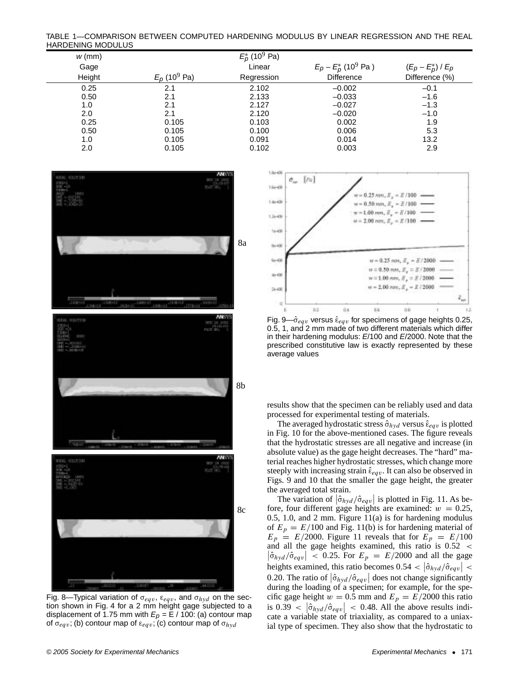TABLE 1—COMPARISON BETWEEN COMPUTED HARDENING MODULUS BY LINEAR REGRESSION AND THE REAL HARDENING MODULUS

| $w$ (mm) |                            | $E_{\rho}^*$ (10 $^9$ Pa) |                                     |                       |
|----------|----------------------------|---------------------------|-------------------------------------|-----------------------|
| Gage     |                            | Linear                    | $E_p - E_p^*$ (10 <sup>9</sup> Pa ) | $(E_p - E_p^*) / E_p$ |
| Height   | $E_p$ (10 <sup>9</sup> Pa) | Regression                | <b>Difference</b>                   | Difference (%)        |
| 0.25     | 2.1                        | 2.102                     | $-0.002$                            | $-0.1$                |
| 0.50     | 2.1                        | 2.133                     | $-0.033$                            | $-1.6$                |
| 1.0      | 2.1                        | 2.127                     | $-0.027$                            | $-1.3$                |
| 2.0      | 2.1                        | 2.120                     | $-0.020$                            | $-1.0$                |
| 0.25     | 0.105                      | 0.103                     | 0.002                               | 1.9                   |
| 0.50     | 0.105                      | 0.100                     | 0.006                               | 5.3                   |
| 1.0      | 0.105                      | 0.091                     | 0.014                               | 13.2                  |
| 2.0      | 0.105                      | 0.102                     | 0.003                               | 2.9                   |



Fig. 8—Typical variation of  $\sigma_{eqv}$ ,  $\varepsilon_{eqv}$ , and  $\sigma_{hyd}$  on the section shown in Fig. 4 for a 2 mm height gage subjected to a displacement of 1.75 mm with  $E_p = \overline{E} / 100$ : (a) contour map of  $\sigma_{eqv}$ ; (b) contour map of  $\varepsilon_{eqv}$ ; (c) contour map of  $\sigma_{hyd}$ 



Fig. 9— $\hat{\sigma}_{eqv}$  versus  $\hat{\epsilon}_{eqv}$  for specimens of gage heights 0.25, 0.5, 1, and 2 mm made of two different materials which differ in their hardening modulus:  $E/100$  and  $E/2000$ . Note that the prescribed constitutive law is exactly represented by these average values

results show that the specimen can be reliably used and data processed for experimental testing of materials.

The averaged hydrostatic stress  $\hat{\sigma}_{hyd}$  versus  $\hat{\epsilon}_{eqv}$  is plotted in Fig. 10 for the above-mentioned cases. The figure reveals that the hydrostatic stresses are all negative and increase (in absolute value) as the gage height decreases. The "hard" material reaches higher hydrostatic stresses, which change more steeply with increasing strain  $\hat{\epsilon}_{eqv}$ . It can also be observed in Figs. 9 and 10 that the smaller the gage height, the greater the averaged total strain.

The variation of  $|\hat{\sigma}_{hyd}/\hat{\sigma}_{eqv}|$  is plotted in Fig. 11. As before, four different gage heights are examined:  $w = 0.25$ , 0.5, 1.0, and 2 mm. Figure 11(a) is for hardening modulus of  $E_p = E/100$  and Fig. 11(b) is for hardening material of  $E_p = E/2000$ . Figure 11 reveals that for  $E_p = E/100$ and all the gage heights examined, this ratio is  $0.52 <$  $\left|\hat{\sigma}_{hyd}/\hat{\sigma}_{eqv}\right|$  < 0.25. For  $E_p = E/2000$  and all the gage heights examined, this ratio becomes  $0.54 < |\hat{\sigma}_{hyd}/\hat{\sigma}_{eqv}| <$ 0.20. The ratio of  $|\hat{\sigma}_{hyd}/\hat{\sigma}_{eqv}|$  does not change significantly during the loading of a specimen; for example, for the specific gage height  $w = 0.5$  mm and  $E_p = E/2000$  this ratio is  $0.39 < |\hat{\sigma}_{hyd}/\hat{\sigma}_{eqv}| < 0.48$ . All the above results indicate a variable state of triaxiality, as compared to a uniaxial type of specimen. They also show that the hydrostatic to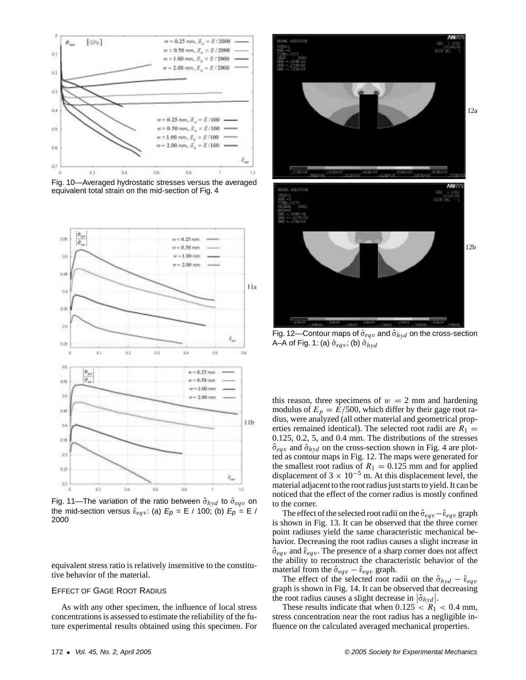

Fig. 10—Averaged hydrostatic stresses versus the averaged equivalent total strain on the mid-section of Fig. 4



Fig. 11—The variation of the ratio between  $\hat{\sigma}_{hyd}$  to  $\hat{\sigma}_{eqv}$  on the mid-section versus  $\hat{\epsilon}_{eqv}$ : (a)  $E_p = E / 100$ ; (b)  $E_p = E /$ 2000

equivalent stress ratio is relatively insensitive to the constitutive behavior of the material.

### EFFECT OF GAGE ROOT RADIUS

As with any other specimen, the influence of local stress concentrations is assessed to estimate the reliability of the future experimental results obtained using this specimen. For



Fig. 12—Contour maps of  $\hat{\sigma}_{eqv}$  and  $\hat{\sigma}_{hyd}$  on the cross-section A–A of Fig. 1: (a)  $\hat{\sigma}_{eq\upsilon}$ ; (b)  $\hat{\sigma}_{hyd}$ 

this reason, three specimens of  $w = 2$  mm and hardening modulus of  $E_p = E/500$ , which differ by their gage root radius, were analyzed (all other material and geometrical properties remained identical). The selected root radii are  $R_1 =$ 0.125, 0.2, 5, and 0.4 mm. The distributions of the stresses  $\hat{\sigma}_{eqv}$  and  $\hat{\sigma}_{hyd}$  on the cross-section shown in Fig. 4 are plotted as contour maps in Fig. 12. The maps were generated for the smallest root radius of  $R_1 = 0.125$  mm and for applied displacement of  $3 \times 10^{-5}$  m. At this displacement level, the material adjacent to the root radius just starts to yield. It can be noticed that the effect of the corner radius is mostly confined to the corner.

The effect of the selected root radii on the  $\hat{\sigma}_{eqv} - \hat{\epsilon}_{eqv}$  graph is shown in Fig. 13. It can be observed that the three corner point radiuses yield the same characteristic mechanical behavior. Decreasing the root radius causes a slight increase in  $\hat{\sigma}_{eqv}$  and  $\hat{\epsilon}_{eqv}$ . The presence of a sharp corner does not affect the ability to reconstruct the characteristic behavior of the material from the  $\hat{\sigma}_{eqv} - \hat{\epsilon}_{eqv}$  graph.

The effect of the selected root radii on the  $\hat{\sigma}_{hyd} - \hat{\epsilon}_{eqv}$ graph is shown in Fig. 14. It can be observed that decreasing the root radius causes a slight decrease in  $\left|\hat{\sigma}_{hyd}\right|$ .<br>These results indicate that when 0.125  $\leq R$ .

These results indicate that when  $0.125 < R_1 < 0.4$  mm, stress concentration near the root radius has a negligible influence on the calculated averaged mechanical properties.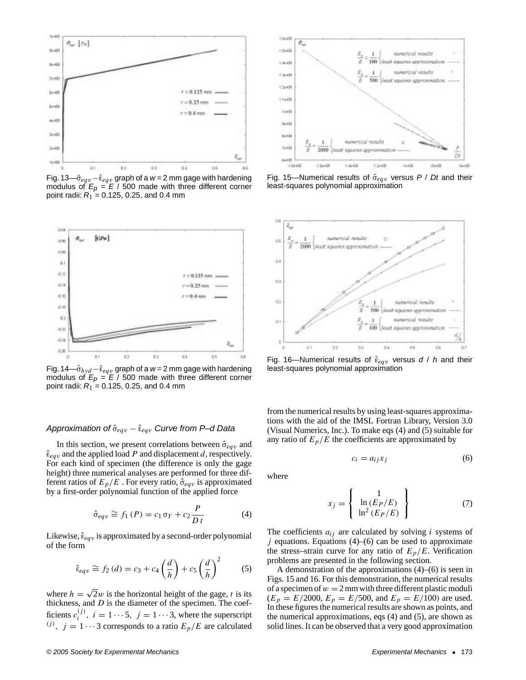

Fig. 13— $\hat{\sigma}_{eqv}$  –  $\hat{\epsilon}_{eqv}$  graph of a w = 2 mm gage with hardening modulus of  $E_p$  =  $E$  / 500 made with three different corner point radii:  $R_1 = 0.125$ , 0.25, and 0.4 mm



Fig. 14— $\hat{\sigma}_{hyd} - \hat{\epsilon}_{eqv}$  graph of a w = 2 mm gage with hardening modulus of  $E_p = E / 500$  made with three different corner point radii:  $R_1 = 0.125$ , 0.25, and 0.4 mm

# Approximation of  $\hat{\sigma}_{eqv} - \hat{\epsilon}_{eqv}$  Curve from P–d Data

In this section, we present correlations between  $\hat{\sigma}_{eqv}$  and  $\hat{\epsilon}_{eqv}$  and the applied load P and displacement d, respectively. For each kind of specimen (the difference is only the gage height) three numerical analyses are performed for three different ratios of  $E_p/E$ . For every ratio,  $\hat{\sigma}_{eqv}$  is approximated by a first-order polynomial function of the applied force

$$
\hat{\sigma}_{eqv} \cong f_1(P) = c_1 \sigma_Y + c_2 \frac{P}{Dt} \tag{4}
$$

Likewise,  $\hat{\epsilon}_{eqv}$  is approximated by a second-order polynomial of the form

$$
\hat{\varepsilon}_{eqv} \cong f_2(d) = c_3 + c_4\left(\frac{d}{h}\right) + c_5\left(\frac{d}{h}\right)^2 \tag{5}
$$

where  $h = \sqrt{2}w$  is the horizontal height of the gage, t is its thickness, and  $D$  is the diameter of the specimen. The coefficients  $c_i^{(j)}$ ,  $i = 1 \cdots 5$ ,  $j = 1 \cdots 3$ , where the superscript (i),  $j = 1 \cdots 3$  corresponds to a ratio  $E_p/E$  are calculated



Fig. 15—Numerical results of  $\hat{\sigma}_{eqv}$  versus P / Dt and their least-squares polynomial approximation



Fig. 16—Numerical results of  $\hat{\epsilon}_{eqv}$  versus d / h and their least-squares polynomial approximation

from the numerical results by using least-squares approximations with the aid of the IMSL Fortran Library, Version 3.0 (Visual Numerics, Inc.). To make eqs (4) and (5) suitable for any ratio of  $E_p/E$  the coefficients are approximated by

$$
c_i = a_{ij} x_j \tag{6}
$$

where

$$
x_j = \left\{ \begin{array}{c} 1 \\ \ln(E_P/E) \\ \ln^2(E_P/E) \end{array} \right\} \tag{7}
$$

The coefficients  $a_{ij}$  are calculated by solving *i* systems of  $j$  equations. Equations (4)–(6) can be used to approximate the stress–strain curve for any ratio of  $E_p/E$ . Verification problems are presented in the following section.

A demonstration of the approximations (4)–(6) is seen in Figs. 15 and 16. For this demonstration, the numerical results of a specimen of  $w = 2$  mm with three different plastic moduli  $(E_p = E/2000, E_p = E/500,$  and  $E_p = E/100$  are used. In these figures the numerical results are shown as points, and the numerical approximations, eqs (4) and (5), are shown as solid lines. It can be observed that a very good approximation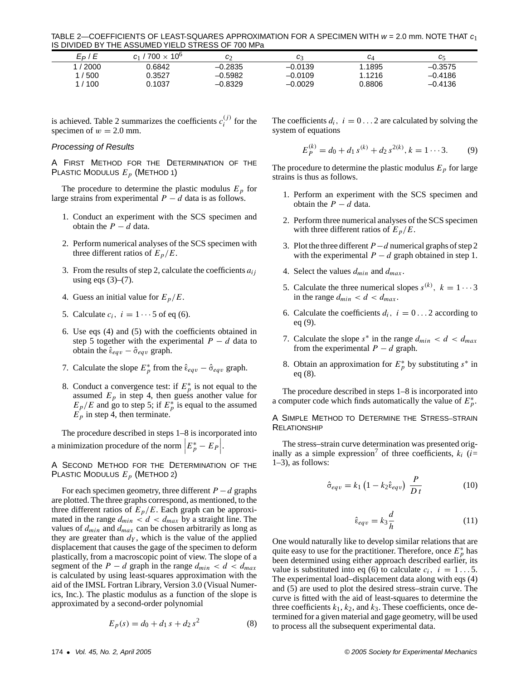TABLE 2—COEFFICIENTS OF LEAST-SQUARES APPROXIMATION FOR A SPECIMEN WITH  $w = 2.0$  mm. NOTE THAT  $c_1$ IS DIVIDED BY THE ASSUMED YIELD STRESS OF 700 MPa

| $E_D/$<br>/ E | $\times 10^{6}$<br>700 | ∽         | v            | $c_{\scriptscriptstyle{4}}$ | بر        |
|---------------|------------------------|-----------|--------------|-----------------------------|-----------|
| 2000          | ).6842                 | $-0.2835$ | -0.0139<br>– | .1895                       | $-0.3575$ |
| 500           | 0.3527                 | $-0.5982$ | $-0.0109$    | 1.1216                      | $-0.4186$ |
| 100           | 0.1037                 | $-0.8329$ | -0.0029<br>- | 0.8806                      | $-0.4136$ |

is achieved. Table 2 summarizes the coefficients  $c_i^{(j)}$  for the specimen of  $w = 2.0$  mm.

## Processing of Results

A FIRST METHOD FOR THE DETERMINATION OF THE PLASTIC MODULUS  $E_p$  (METHOD 1)

The procedure to determine the plastic modulus  $E_p$  for large strains from experimental  $P - d$  data is as follows.

- 1. Conduct an experiment with the SCS specimen and obtain the  $P - d$  data.
- 2. Perform numerical analyses of the SCS specimen with three different ratios of  $E_p/E$ .
- 3. From the results of step 2, calculate the coefficients  $a_{ij}$ using eqs  $(3)$ – $(7)$ .
- 4. Guess an initial value for  $E_p/E$ .
- 5. Calculate  $c_i$ ,  $i = 1 \cdots 5$  of eq (6).
- 6. Use eqs (4) and (5) with the coefficients obtained in step 5 together with the experimental  $P - d$  data to obtain the  $\hat{\epsilon}_{eqv} - \hat{\sigma}_{eqv}$  graph.
- 7. Calculate the slope  $E_p^*$  from the  $\hat{\epsilon}_{eqv} \hat{\sigma}_{eqv}$  graph.
- 8. Conduct a convergence test: if  $E_p^*$  is not equal to the assumed  $E_p$  in step 4, then guess another value for  $E_p/E$  and go to step 5; if  $E_p^*$  is equal to the assumed  $E_p$  in step 4, then terminate.

The procedure described in steps 1–8 is incorporated into a minimization procedure of the norm  $\left|E_p^* - E_P\right|$ .

A SECOND METHOD FOR THE DETERMINATION OF THE PLASTIC MODULUS  $E_p$  (METHOD 2)

For each specimen geometry, three different  $P - d$  graphs are plotted. The three graphs correspond, as mentioned, to the three different ratios of  $E_p/E$ . Each graph can be approximated in the range  $d_{min} < d < d_{max}$  by a straight line. The values of  $d_{min}$  and  $d_{max}$  can be chosen arbitrarily as long as they are greater than  $d_Y$ , which is the value of the applied displacement that causes the gage of the specimen to deform plastically, from a macroscopic point of view. The slope of a segment of the  $P - d$  graph in the range  $d_{min} < d < d_{max}$ is calculated by using least-squares approximation with the aid of the IMSL Fortran Library, Version 3.0 (Visual Numerics, Inc.). The plastic modulus as a function of the slope is approximated by a second-order polynomial

$$
E_p(s) = d_0 + d_1 s + d_2 s^2 \tag{8}
$$

The coefficients  $d_i$ ,  $i = 0...2$  are calculated by solving the system of equations

$$
E_P^{(k)} = d_0 + d_1 s^{(k)} + d_2 s^{2(k)}, k = 1 \cdots 3.
$$
 (9)

The procedure to determine the plastic modulus  $E_p$  for large strains is thus as follows.

- 1. Perform an experiment with the SCS specimen and obtain the  $P - d$  data.
- 2. Perform three numerical analyses of the SCS specimen with three different ratios of  $E_p/E$ .
- 3. Plot the three different  $P d$  numerical graphs of step 2 with the experimental  $P - d$  graph obtained in step 1.
- 4. Select the values  $d_{min}$  and  $d_{max}$ .
- 5. Calculate the three numerical slopes  $s^{(k)}$ ,  $k = 1 \cdots 3$ in the range  $d_{min} < d < d_{max}$ .
- 6. Calculate the coefficients  $d_i$ ,  $i = 0...2$  according to eq (9).
- 7. Calculate the slope  $s^*$  in the range  $d_{min} < d < d_{max}$ from the experimental  $P - d$  graph.
- 8. Obtain an approximation for  $E_p^*$  by substituting  $s^*$  in eq (8).

The procedure described in steps 1–8 is incorporated into a computer code which finds automatically the value of  $E_p^*$ .

#### A SIMPLE METHOD TO DETERMINE THE STRESS–STRAIN **RELATIONSHIP**

The stress–strain curve determination was presented originally as a simple expression<sup>7</sup> of three coefficients,  $k_i$  (*i*= 1–3), as follows:

$$
\hat{\sigma}_{eqv} = k_1 \left( 1 - k_2 \hat{\varepsilon}_{eqv} \right) \frac{P}{Dt} \tag{10}
$$

$$
\hat{\varepsilon}_{eqv} = k_3 \frac{d}{h} \tag{11}
$$

One would naturally like to develop similar relations that are quite easy to use for the practitioner. Therefore, once  $E_p^*$  has been determined using either approach described earlier, its value is substituted into eq (6) to calculate  $c_i$ ,  $i = 1...5$ . The experimental load–displacement data along with eqs (4) and (5) are used to plot the desired stress–strain curve. The curve is fitted with the aid of least-squares to determine the three coefficients  $k_1$ ,  $k_2$ , and  $k_3$ . These coefficients, once determined for a given material and gage geometry, will be used to process all the subsequent experimental data.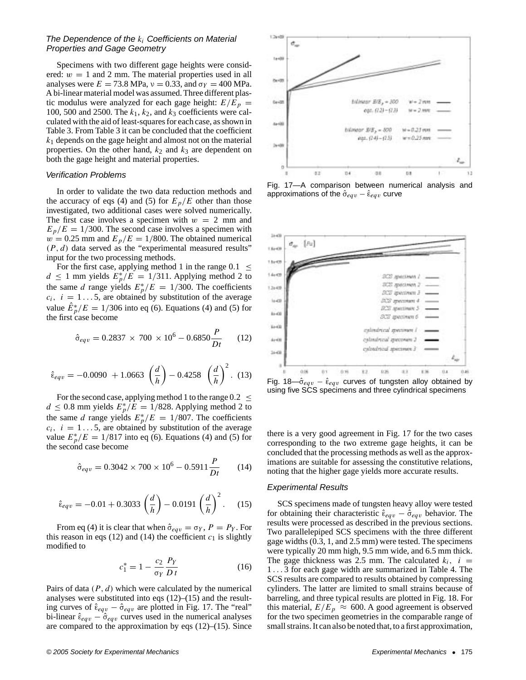# The Dependence of the  $k_i$  Coefficients on Material Properties and Gage Geometry

Specimens with two different gage heights were considered:  $w = 1$  and 2 mm. The material properties used in all analyses were  $E = 73.8$  MPa,  $v = 0.33$ , and  $\sigma_Y = 400$  MPa. A bi-linear material model was assumed. Three different plastic modulus were analyzed for each gage height:  $E/E_p =$ 100, 500 and 2500. The  $k_1$ ,  $k_2$ , and  $k_3$  coefficients were calculated with the aid of least-squares for each case, as shown in Table 3. From Table 3 it can be concluded that the coefficient  $k_1$  depends on the gage height and almost not on the material properties. On the other hand,  $k_2$  and  $k_3$  are dependent on both the gage height and material properties.

## Verification Problems

In order to validate the two data reduction methods and the accuracy of eqs (4) and (5) for  $E_p/E$  other than those investigated, two additional cases were solved numerically. The first case involves a specimen with  $w = 2$  mm and  $E_p/E = 1/300$ . The second case involves a specimen with  $w = 0.25$  mm and  $E_p/E = 1/800$ . The obtained numerical  $(P, d)$  data served as the "experimental measured results" input for the two processing methods.

For the first case, applying method 1 in the range  $0.1 \leq$  $d \leq 1$  mm yields  $E_p^*/E = 1/311$ . Applying method 2 to the same d range yields  $E_p^*/E = 1/300$ . The coefficients  $c_i$ ,  $i = 1...5$ , are obtained by substitution of the average value  $\hat{E}^*_{p}/E = 1/306$  into eq (6). Equations (4) and (5) for the first case become

$$
\hat{\sigma}_{eqv} = 0.2837 \times 700 \times 10^6 - 0.6850 \frac{P}{Dt}
$$
 (12)

$$
\hat{\varepsilon}_{eqv} = -0.0090 + 1.0663 \left(\frac{d}{h}\right) - 0.4258 \left(\frac{d}{h}\right)^2. (13)
$$

For the second case, applying method 1 to the range  $0.2 \leq$  $d \leq 0.8$  mm yields  $E_p^* / E = 1/828$ . Applying method 2 to the same d range yields  $E_p^*/E = 1/807$ . The coefficients  $c_i$ ,  $i = 1...5$ , are obtained by substitution of the average value  $E_p^*/E = 1/817$  into eq (6). Equations (4) and (5) for the second case become

$$
\hat{\sigma}_{eqv} = 0.3042 \times 700 \times 10^6 - 0.5911 \frac{P}{Dt}
$$
 (14)

$$
\hat{\epsilon}_{eqv} = -0.01 + 0.3033 \left(\frac{d}{h}\right) - 0.0191 \left(\frac{d}{h}\right)^2. \tag{15}
$$

From eq (4) it is clear that when  $\hat{\sigma}_{eqv} = \sigma_Y$ ,  $P = P_Y$ . For this reason in eqs (12) and (14) the coefficient  $c_1$  is slightly modified to

$$
c_1^* = 1 - \frac{c_2}{\sigma_Y} \frac{P_Y}{D t} \tag{16}
$$

Pairs of data  $(P, d)$  which were calculated by the numerical analyses were substituted into eqs  $(12)$ – $(15)$  and the resulting curves of  $\hat{\epsilon}_{eqy} - \hat{\sigma}_{eqy}$  are plotted in Fig. 17. The "real" bi-linear  $\hat{\epsilon}_{eqv} - \hat{\sigma}_{eqv}$  curves used in the numerical analyses are compared to the approximation by eqs (12)–(15). Since



Fig. 17—A comparison between numerical analysis and approximations of the  $\hat{\sigma}_{eqv} - \hat{\epsilon}_{eqv}$  curve



using five SCS specimens and three cylindrical specimens

there is a very good agreement in Fig. 17 for the two cases corresponding to the two extreme gage heights, it can be concluded that the processing methods as well as the approximations are suitable for assessing the constitutive relations, noting that the higher gage yields more accurate results.

#### Experimental Results

SCS specimens made of tungsten heavy alloy were tested for obtaining their characteristic  $\hat{\epsilon}_{eqv} - \hat{\sigma}_{eqv}$  behavior. The results were processed as described in the previous sections. Two parallelepiped SCS specimens with the three different gage widths (0.3, 1, and 2.5 mm) were tested. The specimens were typically 20 mm high, 9.5 mm wide, and 6.5 mm thick. The gage thickness was 2.5 mm. The calculated  $k_i$ ,  $i =$ 1 ... 3 for each gage width are summarized in Table 4. The SCS results are compared to results obtained by compressing cylinders. The latter are limited to small strains because of barreling, and three typical results are plotted in Fig. 18. For this material,  $E/E_p \approx 600$ . A good agreement is observed for the two specimen geometries in the comparable range of small strains. It can also be noted that, to a first approximation,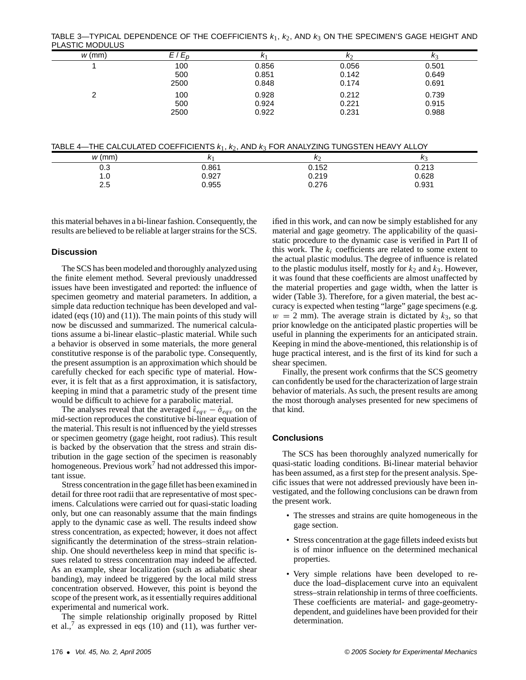TABLE 3—TYPICAL DEPENDENCE OF THE COEFFICIENTS  $k_1, k_2$ , AND  $k_3$  ON THE SPECIMEN'S GAGE HEIGHT AND PLASTIC MODULUS

| $w$ (mm) | E/<br>$E_{n}$ | n.    | n,    |       |
|----------|---------------|-------|-------|-------|
|          | 100           | 0.856 | 0.056 | 0.501 |
|          | 500           | 0.851 | 0.142 | 0.649 |
|          | 2500          | 0.848 | 0.174 | 0.691 |
|          | 100           | 0.928 | 0.212 | 0.739 |
|          | 500           | 0.924 | 0.221 | 0.915 |
|          | 2500          | 0.922 | 0.231 | 0.988 |

TABLE 4—THE CALCULATED COEFFICIENTS  $k_1, k_2$ , AND  $k_3$  FOR ANALYZING TUNGSTEN HEAVY ALLOY

| $w$ (mm)          |       | n,    | K     |
|-------------------|-------|-------|-------|
| ົ<br>∪.ა          | 0.861 | 0.152 | 0.213 |
| 1.U               | 0.927 | 0.219 | 0.628 |
| . .<br>ن. ے<br>__ | 0.955 | 0.276 | 0.931 |

this material behaves in a bi-linear fashion. Consequently, the results are believed to be reliable at larger strains for the SCS.

## **Discussion**

The SCS has been modeled and thoroughly analyzed using the finite element method. Several previously unaddressed issues have been investigated and reported: the influence of specimen geometry and material parameters. In addition, a simple data reduction technique has been developed and validated (eqs (10) and (11)). The main points of this study will now be discussed and summarized. The numerical calculations assume a bi-linear elastic–plastic material. While such a behavior is observed in some materials, the more general constitutive response is of the parabolic type. Consequently, the present assumption is an approximation which should be carefully checked for each specific type of material. However, it is felt that as a first approximation, it is satisfactory, keeping in mind that a parametric study of the present time would be difficult to achieve for a parabolic material.

The analyses reveal that the averaged  $\hat{\varepsilon}_{eqv} - \hat{\sigma}_{eqv}$  on the mid-section reproduces the constitutive bi-linear equation of the material. This result is not influenced by the yield stresses or specimen geometry (gage height, root radius). This result is backed by the observation that the stress and strain distribution in the gage section of the specimen is reasonably homogeneous. Previous work<sup>7</sup> had not addressed this important issue.

Stress concentration in the gage fillet has been examined in detail for three root radii that are representative of most specimens. Calculations were carried out for quasi-static loading only, but one can reasonably assume that the main findings apply to the dynamic case as well. The results indeed show stress concentration, as expected; however, it does not affect significantly the determination of the stress–strain relationship. One should nevertheless keep in mind that specific issues related to stress concentration may indeed be affected. As an example, shear localization (such as adiabatic shear banding), may indeed be triggered by the local mild stress concentration observed. However, this point is beyond the scope of the present work, as it essentially requires additional experimental and numerical work.

The simple relationship originally proposed by Rittel et al.,<sup>7</sup> as expressed in eqs (10) and (11), was further verified in this work, and can now be simply established for any material and gage geometry. The applicability of the quasistatic procedure to the dynamic case is verified in Part II of this work. The  $k_i$  coefficients are related to some extent to the actual plastic modulus. The degree of influence is related to the plastic modulus itself, mostly for  $k_2$  and  $k_3$ . However, it was found that these coefficients are almost unaffected by the material properties and gage width, when the latter is wider (Table 3). Therefore, for a given material, the best accuracy is expected when testing "large" gage specimens (e.g.  $w = 2$  mm). The average strain is dictated by  $k_3$ , so that prior knowledge on the anticipated plastic properties will be useful in planning the experiments for an anticipated strain. Keeping in mind the above-mentioned, this relationship is of huge practical interest, and is the first of its kind for such a shear specimen.

Finally, the present work confirms that the SCS geometry can confidently be used for the characterization of large strain behavior of materials. As such, the present results are among the most thorough analyses presented for new specimens of that kind.

# **Conclusions**

The SCS has been thoroughly analyzed numerically for quasi-static loading conditions. Bi-linear material behavior has been assumed, as a first step for the present analysis. Specific issues that were not addressed previously have been investigated, and the following conclusions can be drawn from the present work.

- The stresses and strains are quite homogeneous in the gage section.
- Stress concentration at the gage fillets indeed exists but is of minor influence on the determined mechanical properties.
- Very simple relations have been developed to reduce the load–displacement curve into an equivalent stress–strain relationship in terms of three coefficients. These coefficients are material- and gage-geometrydependent, and guidelines have been provided for their determination.